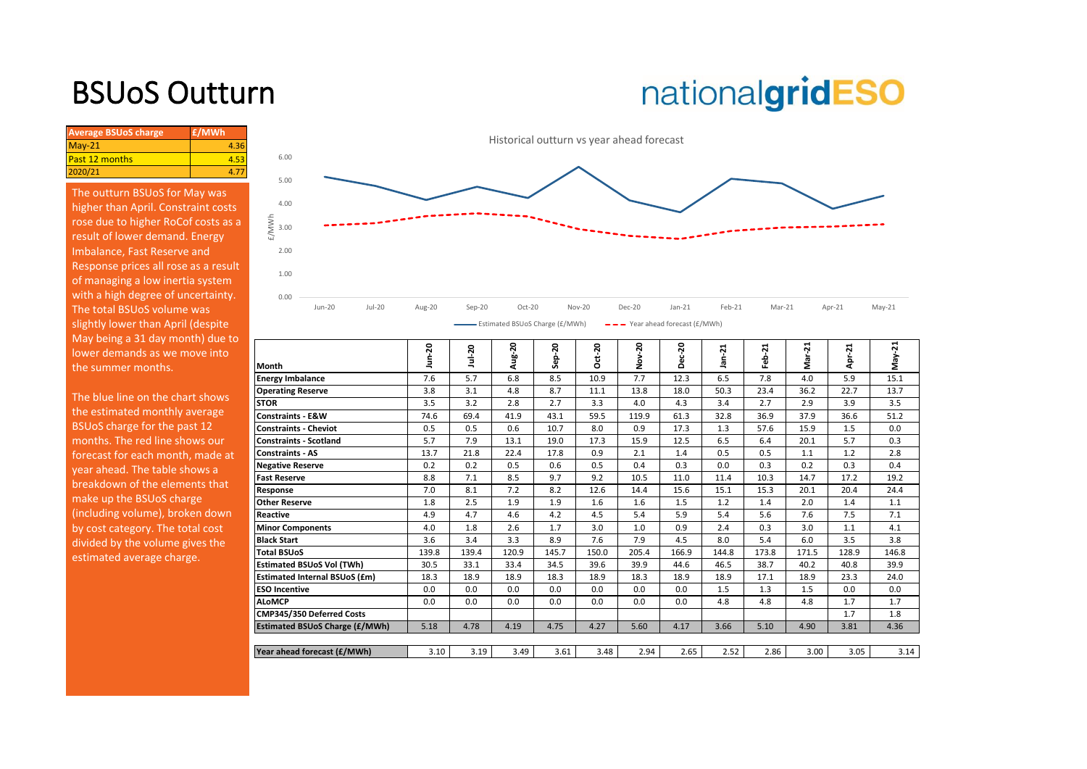## BSUoS Outturn

# nationalgridESO

| <b>Average BSUoS charge</b> | £/MWh |
|-----------------------------|-------|
| $May-21$                    | 4.36  |
| <b>Past 12 months</b>       |       |
| 2020/21                     |       |

The outturn BSUoS for May was higher than April. Constraint costs rose due to higher RoCof costs as a result of lower demand. Energy Imbalance, Fast Reserve and Response prices all rose as a result of managing a low inertia system with a high degree of uncertainty. The total BSUoS volume was slightly lower than April (despite May being a 31 day month) due to lower demands as we move into the summer months.



| ន     | ន        | Aug-20 | ន          |          | ន             | ន     | 21        | Ņ     | ដ     |          | ż     |
|-------|----------|--------|------------|----------|---------------|-------|-----------|-------|-------|----------|-------|
|       | É        |        | <b>Sep</b> | $Oct-20$ | $\frac{8}{2}$ | ပ္က   | 듦         | 웁     | 눎     | $pr-21$  |       |
|       |          |        |            |          |               |       |           |       |       |          | ξ     |
|       |          |        |            |          |               |       |           |       |       |          | 15.1  |
| 3.8   | 3.1      | 4.8    | 8.7        | 11.1     | 13.8          | 18.0  | 50.3      | 23.4  | 36.2  | 22.7     | 13.7  |
| 3.5   | 3.2      | 2.8    | 2.7        | 3.3      | 4.0           | 4.3   | 3.4       | 2.7   | 2.9   | 3.9      | 3.5   |
| 74.6  | 69.4     | 41.9   | 43.1       | 59.5     | 119.9         | 61.3  | 32.8      | 36.9  | 37.9  | 36.6     | 51.2  |
| 0.5   | 0.5      | 0.6    | 10.7       | 8.0      | 0.9           | 17.3  | 1.3       | 57.6  | 15.9  | 1.5      | 0.0   |
| 5.7   | 7.9      | 13.1   | 19.0       | 17.3     | 15.9          | 12.5  | 6.5       | 6.4   | 20.1  | 5.7      | 0.3   |
| 13.7  | 21.8     | 22.4   | 17.8       | 0.9      | 2.1           | 1.4   | 0.5       | 0.5   | 1.1   | 1.2      | 2.8   |
| 0.2   | 0.2      | 0.5    | 0.6        | 0.5      | 0.4           | 0.3   | 0.0       | 0.3   | 0.2   | 0.3      | 0.4   |
| 8.8   | 7.1      | 8.5    | 9.7        | 9.2      | 10.5          | 11.0  | 11.4      | 10.3  | 14.7  | 17.2     | 19.2  |
| 7.0   | 8.1      | 7.2    | 8.2        | 12.6     | 14.4          | 15.6  | 15.1      | 15.3  | 20.1  | 20.4     | 24.4  |
| 1.8   | 2.5      | 1.9    | 1.9        | 1.6      | 1.6           | 1.5   | 1.2       | 1.4   | 2.0   | 1.4      | 1.1   |
| 4.9   | 4.7      | 4.6    | 4.2        | 4.5      | 5.4           | 5.9   | 5.4       | 5.6   | 7.6   | 7.5      | 7.1   |
| 4.0   | 1.8      | 2.6    | 1.7        | 3.0      | 1.0           | 0.9   | 2.4       | 0.3   | 3.0   | 1.1      | 4.1   |
| 3.6   | 3.4      | 3.3    | 8.9        | 7.6      | 7.9           | 4.5   | 8.0       | 5.4   | 6.0   | 3.5      | 3.8   |
| 139.8 | 139.4    | 120.9  | 145.7      | 150.0    | 205.4         | 166.9 | 144.8     | 173.8 | 171.5 | 128.9    | 146.8 |
| 30.5  | 33.1     | 33.4   | 34.5       | 39.6     | 39.9          | 44.6  | 46.5      | 38.7  | 40.2  | 40.8     | 39.9  |
| 18.3  | 18.9     | 18.9   | 18.3       | 18.9     | 18.3          | 18.9  | 18.9      | 17.1  | 18.9  | 23.3     | 24.0  |
| 0.0   | 0.0      | 0.0    | 0.0        | 0.0      | 0.0           | 0.0   | 1.5       | 1.3   | 1.5   | 0.0      | 0.0   |
| 0.0   | 0.0      | 0.0    | 0.0        | 0.0      | 0.0           | 0.0   | 4.8       | 4.8   | 4.8   | 1.7      | 1.7   |
|       |          |        |            |          |               |       |           |       |       | 1.7      | 1.8   |
| 5.18  | 4.78     | 4.19   | 4.75       | 4.27     | 5.60          | 4.17  | 3.66      | 5.10  | 4.90  | 3.81     | 4.36  |
|       |          |        |            |          |               |       |           |       |       |          |       |
| 3.10  | 3.19     | 3.49   | 3.61       | 3.48     | 2.94          | 2.65  | 2.52      | 2.86  | 3.00  | 3.05     | 3.14  |
|       | 2<br>7.6 | 5.7    | 6.8        | 8.5      | 10.9          | 7.7   | ō<br>12.3 | 6.5   | 7.8   | Σ<br>4.0 | 5.9   |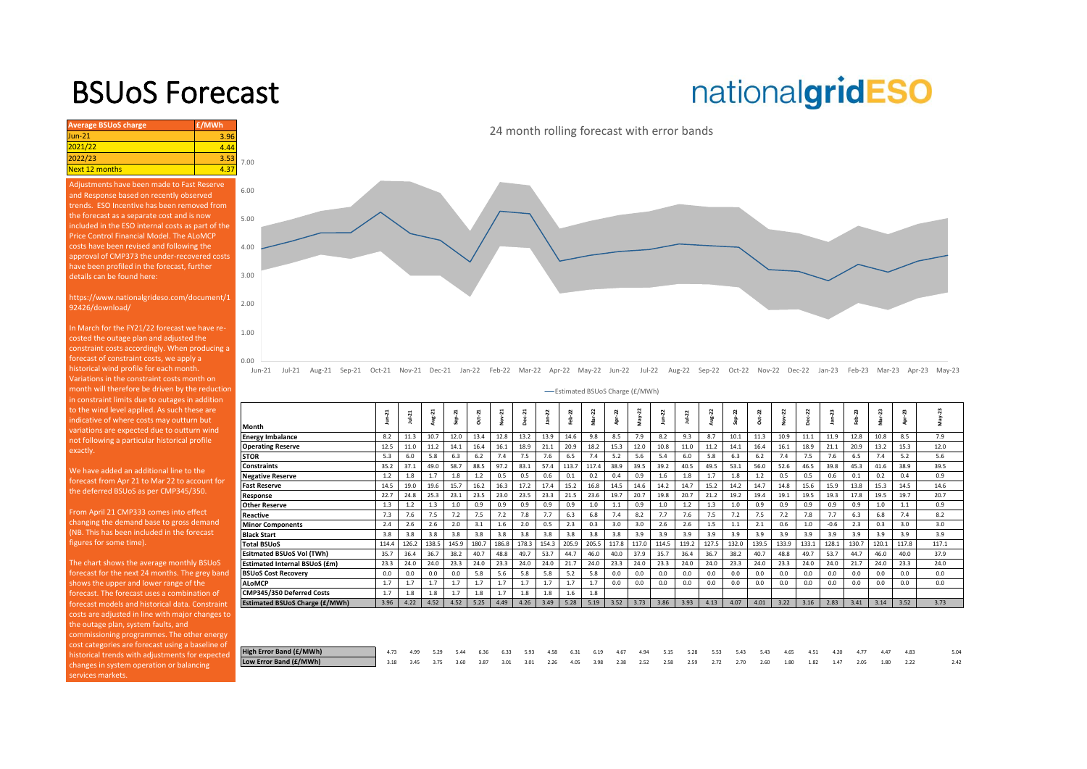### BSUoS Forecast

## nationalgridESO

| <b>Average BSUoS charge</b> | £/MWh  |      |
|-----------------------------|--------|------|
| $Jun-21$                    | 3.96   |      |
| 2021/22                     | 4 44   |      |
| 2022/23                     | 3.53   | 7.00 |
| Next 12 months              | $12 -$ |      |
|                             |        |      |

nents have been made to Fast Reserve and Response based on recently observed trends. ESO Incentive has been removed from the forecast as a separate cost and is now Price Control Financial Model. The ALoMCP costs have been revised and following the approval of CMP373 the under-recovered costs have been profiled in the forecast, further details can be found here:

https://www.nationalgrideso.com/document/1 92426/download/

In March for the FY21/22 forecast we have recosted the outage plan and adjusted the constraint costs accordingly. When producing a forecast of constraint costs, we apply a historical wind profile for each month. Variations in the constraint costs month on [month will therefore be driven by the reduction](https://www.nationalgrideso.com/charging/balancing-services-use-system-bsuos-charges)  in constraint limits due to outages in addition to the wind level applied. As such these are ndicative of where costs may outturn but variations are expected due to outturn wind not following a particular historical profile exactly.

0.00

1.00

2.00

3.00

4.00

5.00

6.00

We have added an additional line to the forecast from Apr 21 to Mar 22 to account for the deferred BSUoS as per CMP345/350.

From April 21 CMP333 comes into effect changing the demand base to gross demand (NB. This has been included in the forecast figures for some time).

The chart shows the average monthly BSUoS forecast for the next 24 months. The grey band shows the upper and lower range of the forecast. The forecast uses a combination of forecast models and historical data. Constraint costs are adjusted in line with major changes to the outage plan, system faults, and commissioning programmes. The other energy cost categories are forecast using a baseline of historical trends with adjustments for expected changes in system operation or balancing ervices markets.

Jun-21 Jul-21 Aug-21 Sep-21 Oct-21 Nov-21 Dec-21 Jan-22 Feb-22 Mar-22 Apr-22 May-22 Jun-22 Jul-22 Aug-22 Sep-22 Oct-22 Nov-22 Dec-22 Jan-23 Feb-23 Mar-23 Apr-23 May-23

Estimated BSUoS Charge (£/MWh)

| Month                                 | $un-21$ | Jul-21 | Aug-21 | Sep <sub>21</sub> | Oct-21 | Nov-21 | $Dec-21$ | $jan-22$ | $eb-22$ | Mar-22 | Apr-22 | $May-22$ | $J$ un- $22$ | $Ju+22$ | Aug-22 | Sep-22 | Dd-22 | Nov-22 | Dec-22 | $lan-23$ | Feb-23 | Mar-23 | Apr-23 | May-23 |
|---------------------------------------|---------|--------|--------|-------------------|--------|--------|----------|----------|---------|--------|--------|----------|--------------|---------|--------|--------|-------|--------|--------|----------|--------|--------|--------|--------|
|                                       |         |        |        |                   |        |        |          |          |         |        |        |          |              |         |        |        |       |        |        |          |        |        |        |        |
| <b>Energy Imbalance</b>               | 8.2     | 11.3   | 10.7   | 12.0              | 13.4   | 12.8   | 13.2     | 13.9     | 14.6    | 9.8    | 8.5    | 7.9      | 8.2          | 9.3     | 8.7    | 10.1   | 11.3  | 10.9   | 11.1   | 11.9     | 12.8   | 10.8   | 8.5    | 7.9    |
| <b>Operating Reserve</b>              | 12.5    | 11.0   | 11.2   | 14.1              | 16.4   | 16.1   | 18.9     | 21.1     | 20.9    | 18.2   | 15.3   | 12.0     | 10.8         | 11.0    | 11.2   | 14.1   | 16.4  | 16.1   | 18.9   | 21.1     | 20.9   | 13.2   | 15.3   | 12.0   |
| <b>STOR</b>                           | 5.3     | 6.0    | 5.8    | 6.3               | 6.2    | 7.4    | 7.5      | 7.6      | 6.5     | 7.4    | 5.2    | 5.6      | 5.4          | 6.0     | 5.8    | 6.3    | 6.2   | 7.4    | 7.5    | 7.6      | 6.5    | 7.4    | 5.2    | 5.6    |
| <b>Constraints</b>                    | 35.2    | 37.1   | 49.0   | 58.7              | 88.5   | 97.2   | 83.1     | 57.4     | 113.7   | 117.4  | 38.9   | 39.5     | 39.2         | 40.5    | 49.5   | 53.1   | 56.0  | 52.6   | 46.5   | 39.8     | 45.3   | 41.6   | 38.9   | 39.5   |
| <b>Negative Reserve</b>               | 1.2     | 1.8    | 1.7    | 1.8               | 1.2    | 0.5    | 0.5      | 0.6      | 0.1     | 0.2    | 0.4    | 0.9      | 1.6          | 1.8     | 1.7    | 1.8    | 1.2   | 0.5    | 0.5    | 0.6      | 0.1    | 0.2    | 0.4    | 0.9    |
| <b>Fast Reserve</b>                   | 14.5    | 19.0   | 19.6   | 15.7              | 16.2   | 16.3   | 17.2     | 17.4     | 15.2    | 16.8   | 14.5   | 14.6     | 14.2         | 14.7    | 15.2   | 14.2   | 14.7  | 14.8   | 15.6   | 15.9     | 13.8   | 15.3   | 14.5   | 14.6   |
| Response                              | 22.7    | 24.8   | 25.3   | 23.1              | 23.5   | 23.0   | 23.5     | 23.3     | 21.5    | 23.6   | 19.7   | 20.7     | 19.8         | 20.7    | 21.2   | 19.2   | 19.4  | 19.1   | 19.5   | 19.3     | 17.8   | 19.5   | 19.7   | 20.7   |
| <b>Other Reserve</b>                  | 1.3     | 1.2    | 1.3    | 1.0               | 0.9    | 0.9    | 0.9      | 0.9      | 0.9     | 1.0    | 1.1    | 0.9      | 1.0          | 1.2     | 1.3    | 1.0    | 0.9   | 0.9    | 0.9    | 0.9      | 0.9    | 1.0    | 1.1    | 0.9    |
| Reactive                              | 7.3     | 7.6    | 7.5    | 7.2               | 7.5    | 7.2    | 7.8      | 7.7      | 6.3     | 6.8    | 7.4    | 8.2      | 7.7          | 7.6     | 7.5    | 7.2    | 7.5   | 7.2    | 7.8    | 7.7      | 6.3    | 6.8    | 7.4    | 8.2    |
| <b>Minor Components</b>               | 2.4     | 2.6    | 2.6    | 2.0               | 3.1    | 1.6    | 2.0      | 0.5      | 2.3     | 0.3    | 3.0    | 3.0      | 2.6          | 2.6     | 1.5    | 1.1    | 2.1   | 0.6    | 1.0    | $-0.6$   | 2.3    | 0.3    | 3.0    | 3.0    |
| <b>Black Start</b>                    | 3.8     | 3.8    | 3.8    | 3.8               | 3.8    | 3.8    | 3.8      | 3.8      | 3.8     | 3.8    | 3.8    | 3.9      | 3.9          | 3.9     | 3.9    | 3.9    | 3.9   | 3.9    | 3.9    | 3.9      | 3.9    | 3.9    | 3.9    | 3.9    |
| <b>Total BSUoS</b>                    | 114.4   | 126.2  | 138.5  | 145.9             | 180.7  | 186.8  | 178.3    | 154.3    | 205.9   | 205.5  | 117.8  | 117.0    | 114.5        | 119.2   | 127.5  | 132.0  | 139.5 | 133.9  | 133.1  | 128.1    | 130.7  | 120.1  | 117.8  | 117.1  |
| <b>Esitmated BSUoS Vol (TWh)</b>      | 35.7    | 36.4   | 36.7   | 38.2              | 40.7   | 48.8   | 49.7     | 53.7     | 44.7    | 46.0   | 40.0   | 37.9     | 35.7         | 36.4    | 36.7   | 38.2   | 40.7  | 48.8   | 49.7   | 53.7     | 44.7   | 46.0   | 40.0   | 37.9   |
| <b>Estimated Internal BSUoS (£m)</b>  | 23.3    | 24.0   | 24.0   | 23.3              | 24.0   | 23.3   | 24.0     | 24.0     | 21.7    | 24.0   | 23.3   | 24.0     | 23.3         | 24.0    | 24.0   | 23.3   | 24.0  | 23.3   | 24.0   | 24.0     | 21.7   | 24.0   | 23.3   | 24.0   |
| <b>BSUoS Cost Recovery</b>            | 0.0     | 0.0    | 0.0    | 0.0               | 5.8    | 5.6    | 5.8      | 5.8      | 5.2     | 5.8    | 0.0    | 0.0      | 0.0          | 0.0     | 0.0    | 0.0    | 0.0   | 0.0    | 0.0    | 0.0      | 0.0    | 0.0    | 0.0    | 0.0    |
| <b>ALoMCP</b>                         | 1.7     | 1.7    | 1.7    | 1.7               | 1.7    | 1.7    | 1.7      | 1.7      | 1.7     | 1.7    | 0.0    | 0.0      | 0.0          | 0.0     | 0.0    | 0.0    | 0.0   | 0.0    | 0.0    | 0.0      | 0.0    | 0.0    | 0.0    | 0.0    |
| CMP345/350 Deferred Costs             | 1.7     | 1.8    | 1.8    | 1.7               | 1.8    | 1.7    | 1.8      | 1.8      | 1.6     | 1.8    |        |          |              |         |        |        |       |        |        |          |        |        |        |        |
| <b>Estimated BSUoS Charge (£/MWh)</b> | 3.96    | 4.22   | 4.52   | 4.52              | 5.25   | 4.49   | 4.26     | 3.49     | 5.28    | 5.19   | 3.52   | 3.73     | 3.86         | 3.93    | 4.13   | 4.07   | 4.01  | 3.22   | 3.16   | 2.83     | 3.41   | 3.14   | 3.52   | 3.73   |
|                                       |         |        |        |                   |        |        |          |          |         |        |        |          |              |         |        |        |       |        |        |          |        |        |        |        |

| High Error Band (£/MWh) | 4 73 4.99 5.29 5.44 6.36 6.33 5.93 4.58 6.31 6.19 4.67 4.94 5.15 5.28 5.53 5.43 5.43 4.65 4.51 4.20 4.77 4.47 4.83   |  |  |  |  |  |  |  |  |  |  |  | 5.04 |
|-------------------------|----------------------------------------------------------------------------------------------------------------------|--|--|--|--|--|--|--|--|--|--|--|------|
| Low Error Band (£/MWh)  | 4 3.18 3.45 3.75 3.60 3.87 3.01 3.01 2.26 4.05 3.98 2.38 2.52 2.58 2.59 2.72 2.70 2.60 1.80 1.82 1.47 2.05 1.80 2.22 |  |  |  |  |  |  |  |  |  |  |  |      |

24 month rolling forecast with error bands